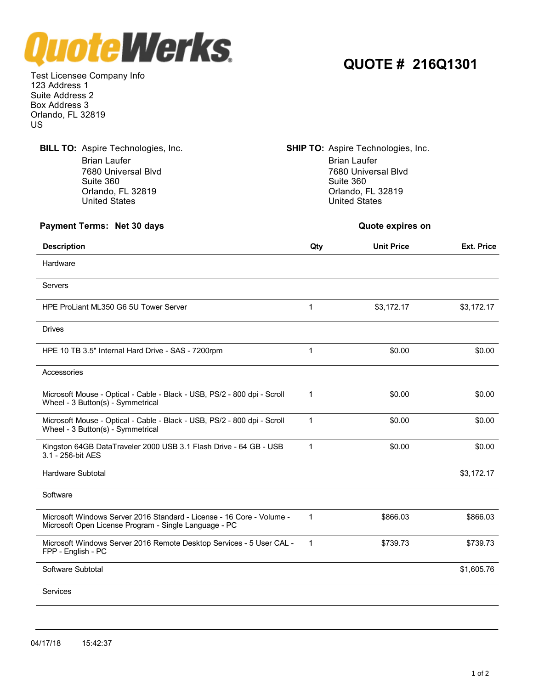

**QUOTE # 216Q1301**

Test Licensee Company Info 123 Address 1 Suite Address 2 Box Address 3 Orlando, FL 32819 US

**BILL TO:** Aspire Technologies, Inc. **SHIP TO:** Aspire Technologies, Inc. Brian Laufer **Brian Laufer** Brian Laufer **Brian Laufer** 7680 Universal Blvd Suite 360 Orlando, FL 32819 United States 7680 Universal Blvd Suite 360 Orlando, FL 32819 United States **Payment Terms: Net 30 days Quote expires on Description Qty Unit Price Ext. Price** Hardware Servers HPE ProLiant ML350 G6 5U Tower Server 1 1 53,172.17 \$3,172.17 \$3,172.17 Drives HPE 10 TB 3.5" Internal Hard Drive - SAS - 7200rpm 1 1 50.00 \$0.00 \$0.00 \$0.00 Accessories Microsoft Mouse - Optical - Cable - Black - USB, PS/2 - 800 dpi - Scroll 1 \$0.00 \$0.00 \$0.00 Wheel - 3 Button(s) - Symmetrical Microsoft Mouse - Optical - Cable - Black - USB, PS/2 - 800 dpi - Scroll 1 \$0.00 \$0.00 \$0.00 Wheel - 3 Button(s) - Symmetrical Kingston 64GB DataTraveler 2000 USB 3.1 Flash Drive - 64 GB - USB 1 \$0.00 \$0.00 \$0.00 \$0.00 3.1 - 256-bit AES Hardware Subtotal \$3,172.17 **Software** Microsoft Windows Server 2016 Standard - License - 16 Core - Volume - 1 \$866.03 \$866.03 \$866.03 Microsoft Open License Program - Single Language - PC Microsoft Windows Server 2016 Remote Desktop Services - 5 User CAL - 1 \$739.73 \$739.73 FPP - English -PC Software Subtotal \$1,605.76 **Services**